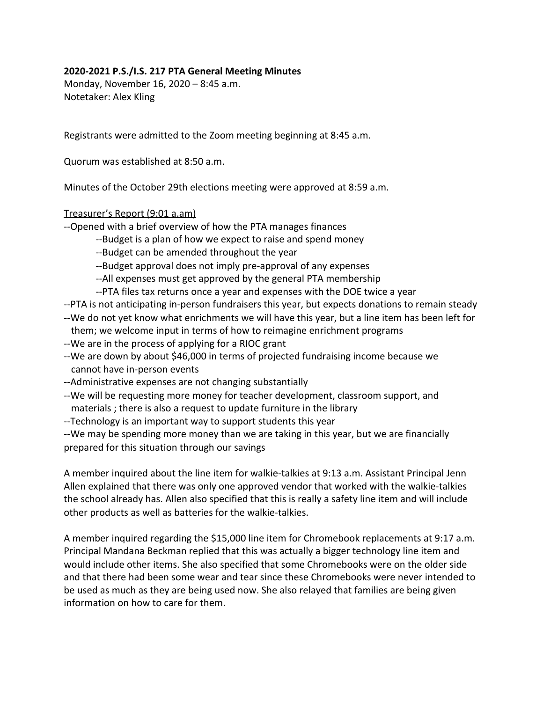## **2020-2021 P.S./I.S. 217 PTA General Meeting Minutes**

Monday, November 16, 2020 – 8:45 a.m. Notetaker: Alex Kling

Registrants were admitted to the Zoom meeting beginning at 8:45 a.m.

Quorum was established at 8:50 a.m.

Minutes of the October 29th elections meeting were approved at 8:59 a.m.

## Treasurer's Report (9:01 a.am)

--Opened with a brief overview of how the PTA manages finances

- --Budget is a plan of how we expect to raise and spend money
- --Budget can be amended throughout the year

--Budget approval does not imply pre-approval of any expenses

--All expenses must get approved by the general PTA membership

--PTA files tax returns once a year and expenses with the DOE twice a year

--PTA is not anticipating in-person fundraisers this year, but expects donations to remain steady --We do not yet know what enrichments we will have this year, but a line item has been left for

- them; we welcome input in terms of how to reimagine enrichment programs
- --We are in the process of applying for a RIOC grant
- --We are down by about \$46,000 in terms of projected fundraising income because we cannot have in-person events
- --Administrative expenses are not changing substantially
- --We will be requesting more money for teacher development, classroom support, and materials ; there is also a request to update furniture in the library
- --Technology is an important way to support students this year

--We may be spending more money than we are taking in this year, but we are financially prepared for this situation through our savings

A member inquired about the line item for walkie-talkies at 9:13 a.m. Assistant Principal Jenn Allen explained that there was only one approved vendor that worked with the walkie-talkies the school already has. Allen also specified that this is really a safety line item and will include other products as well as batteries for the walkie-talkies.

A member inquired regarding the \$15,000 line item for Chromebook replacements at 9:17 a.m. Principal Mandana Beckman replied that this was actually a bigger technology line item and would include other items. She also specified that some Chromebooks were on the older side and that there had been some wear and tear since these Chromebooks were never intended to be used as much as they are being used now. She also relayed that families are being given information on how to care for them.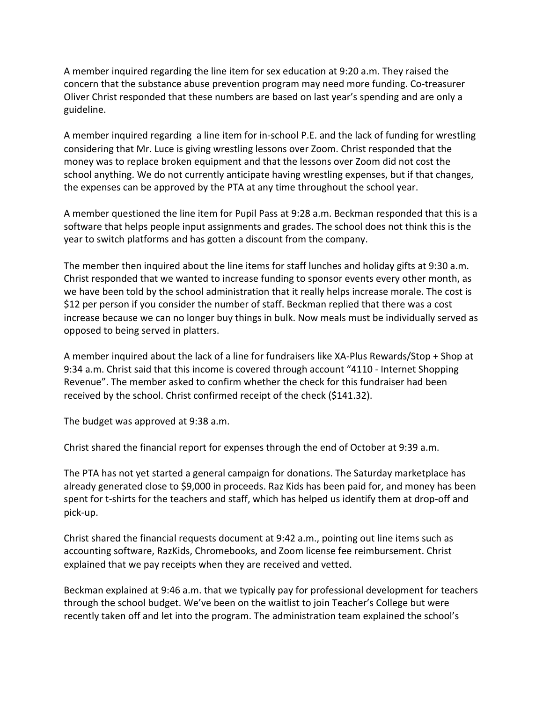A member inquired regarding the line item for sex education at 9:20 a.m. They raised the concern that the substance abuse prevention program may need more funding. Co-treasurer Oliver Christ responded that these numbers are based on last year's spending and are only a guideline.

A member inquired regarding a line item for in-school P.E. and the lack of funding for wrestling considering that Mr. Luce is giving wrestling lessons over Zoom. Christ responded that the money was to replace broken equipment and that the lessons over Zoom did not cost the school anything. We do not currently anticipate having wrestling expenses, but if that changes, the expenses can be approved by the PTA at any time throughout the school year.

A member questioned the line item for Pupil Pass at 9:28 a.m. Beckman responded that this is a software that helps people input assignments and grades. The school does not think this is the year to switch platforms and has gotten a discount from the company.

The member then inquired about the line items for staff lunches and holiday gifts at 9:30 a.m. Christ responded that we wanted to increase funding to sponsor events every other month, as we have been told by the school administration that it really helps increase morale. The cost is \$12 per person if you consider the number of staff. Beckman replied that there was a cost increase because we can no longer buy things in bulk. Now meals must be individually served as opposed to being served in platters.

A member inquired about the lack of a line for fundraisers like XA-Plus Rewards/Stop + Shop at 9:34 a.m. Christ said that this income is covered through account "4110 - Internet Shopping Revenue". The member asked to confirm whether the check for this fundraiser had been received by the school. Christ confirmed receipt of the check (\$141.32).

The budget was approved at 9:38 a.m.

Christ shared the financial report for expenses through the end of October at 9:39 a.m.

The PTA has not yet started a general campaign for donations. The Saturday marketplace has already generated close to \$9,000 in proceeds. Raz Kids has been paid for, and money has been spent for t-shirts for the teachers and staff, which has helped us identify them at drop-off and pick-up.

Christ shared the financial requests document at 9:42 a.m., pointing out line items such as accounting software, RazKids, Chromebooks, and Zoom license fee reimbursement. Christ explained that we pay receipts when they are received and vetted.

Beckman explained at 9:46 a.m. that we typically pay for professional development for teachers through the school budget. We've been on the waitlist to join Teacher's College but were recently taken off and let into the program. The administration team explained the school's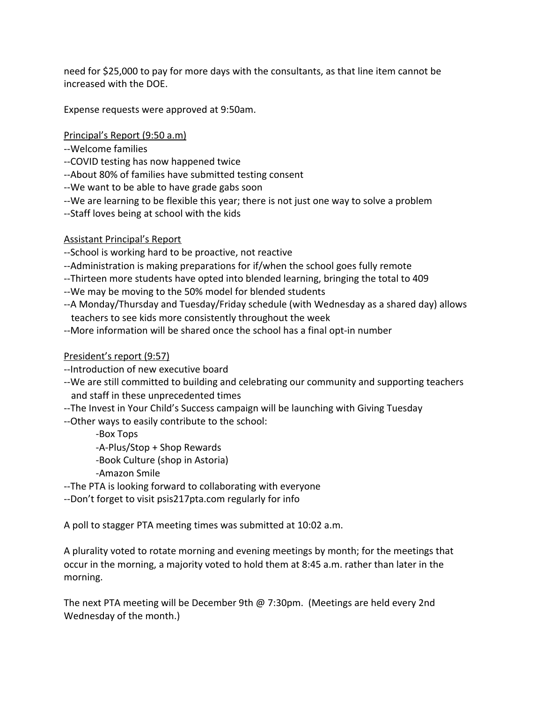need for \$25,000 to pay for more days with the consultants, as that line item cannot be increased with the DOE.

Expense requests were approved at 9:50am.

Principal's Report (9:50 a.m)

- --Welcome families
- --COVID testing has now happened twice
- --About 80% of families have submitted testing consent
- --We want to be able to have grade gabs soon
- --We are learning to be flexible this year; there is not just one way to solve a problem
- --Staff loves being at school with the kids

## Assistant Principal's Report

--School is working hard to be proactive, not reactive

- --Administration is making preparations for if/when the school goes fully remote
- --Thirteen more students have opted into blended learning, bringing the total to 409
- --We may be moving to the 50% model for blended students
- --A Monday/Thursday and Tuesday/Friday schedule (with Wednesday as a shared day) allows teachers to see kids more consistently throughout the week
- --More information will be shared once the school has a final opt-in number

## President's report (9:57)

- --Introduction of new executive board
- --We are still committed to building and celebrating our community and supporting teachers and staff in these unprecedented times
- --The Invest in Your Child's Success campaign will be launching with Giving Tuesday
- --Other ways to easily contribute to the school:
	- -Box Tops
	- -A-Plus/Stop + Shop Rewards
	- -Book Culture (shop in Astoria)
	- -Amazon Smile
- --The PTA is looking forward to collaborating with everyone
- --Don't forget to visit psis217pta.com regularly for info

A poll to stagger PTA meeting times was submitted at 10:02 a.m.

A plurality voted to rotate morning and evening meetings by month; for the meetings that occur in the morning, a majority voted to hold them at 8:45 a.m. rather than later in the morning.

The next PTA meeting will be December 9th @ 7:30pm. (Meetings are held every 2nd Wednesday of the month.)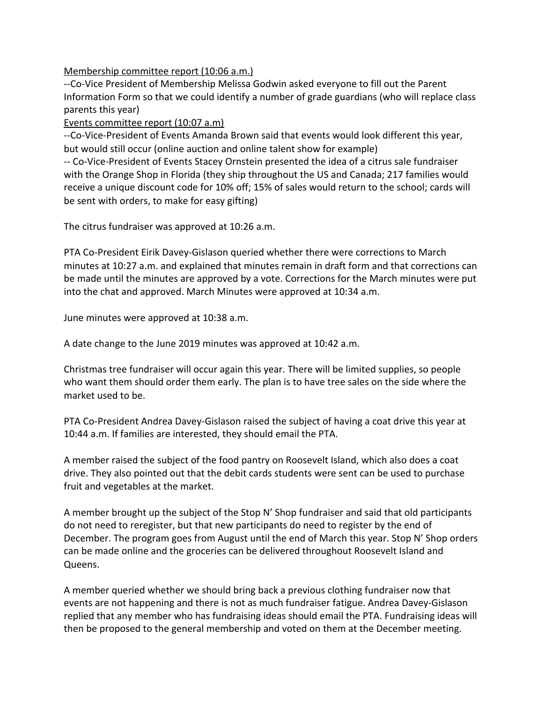Membership committee report (10:06 a.m.)

--Co-Vice President of Membership Melissa Godwin asked everyone to fill out the Parent Information Form so that we could identify a number of grade guardians (who will replace class parents this year)

Events committee report (10:07 a.m)

--Co-Vice-President of Events Amanda Brown said that events would look different this year, but would still occur (online auction and online talent show for example)

-- Co-Vice-President of Events Stacey Ornstein presented the idea of a citrus sale fundraiser with the Orange Shop in Florida (they ship throughout the US and Canada; 217 families would receive a unique discount code for 10% off; 15% of sales would return to the school; cards will be sent with orders, to make for easy gifting)

The citrus fundraiser was approved at 10:26 a.m.

PTA Co-President Eirik Davey-Gislason queried whether there were corrections to March minutes at 10:27 a.m. and explained that minutes remain in draft form and that corrections can be made until the minutes are approved by a vote. Corrections for the March minutes were put into the chat and approved. March Minutes were approved at 10:34 a.m.

June minutes were approved at 10:38 a.m.

A date change to the June 2019 minutes was approved at 10:42 a.m.

Christmas tree fundraiser will occur again this year. There will be limited supplies, so people who want them should order them early. The plan is to have tree sales on the side where the market used to be.

PTA Co-President Andrea Davey-Gislason raised the subject of having a coat drive this year at 10:44 a.m. If families are interested, they should email the PTA.

A member raised the subject of the food pantry on Roosevelt Island, which also does a coat drive. They also pointed out that the debit cards students were sent can be used to purchase fruit and vegetables at the market.

A member brought up the subject of the Stop N' Shop fundraiser and said that old participants do not need to reregister, but that new participants do need to register by the end of December. The program goes from August until the end of March this year. Stop N' Shop orders can be made online and the groceries can be delivered throughout Roosevelt Island and Queens.

A member queried whether we should bring back a previous clothing fundraiser now that events are not happening and there is not as much fundraiser fatigue. Andrea Davey-Gislason replied that any member who has fundraising ideas should email the PTA. Fundraising ideas will then be proposed to the general membership and voted on them at the December meeting.